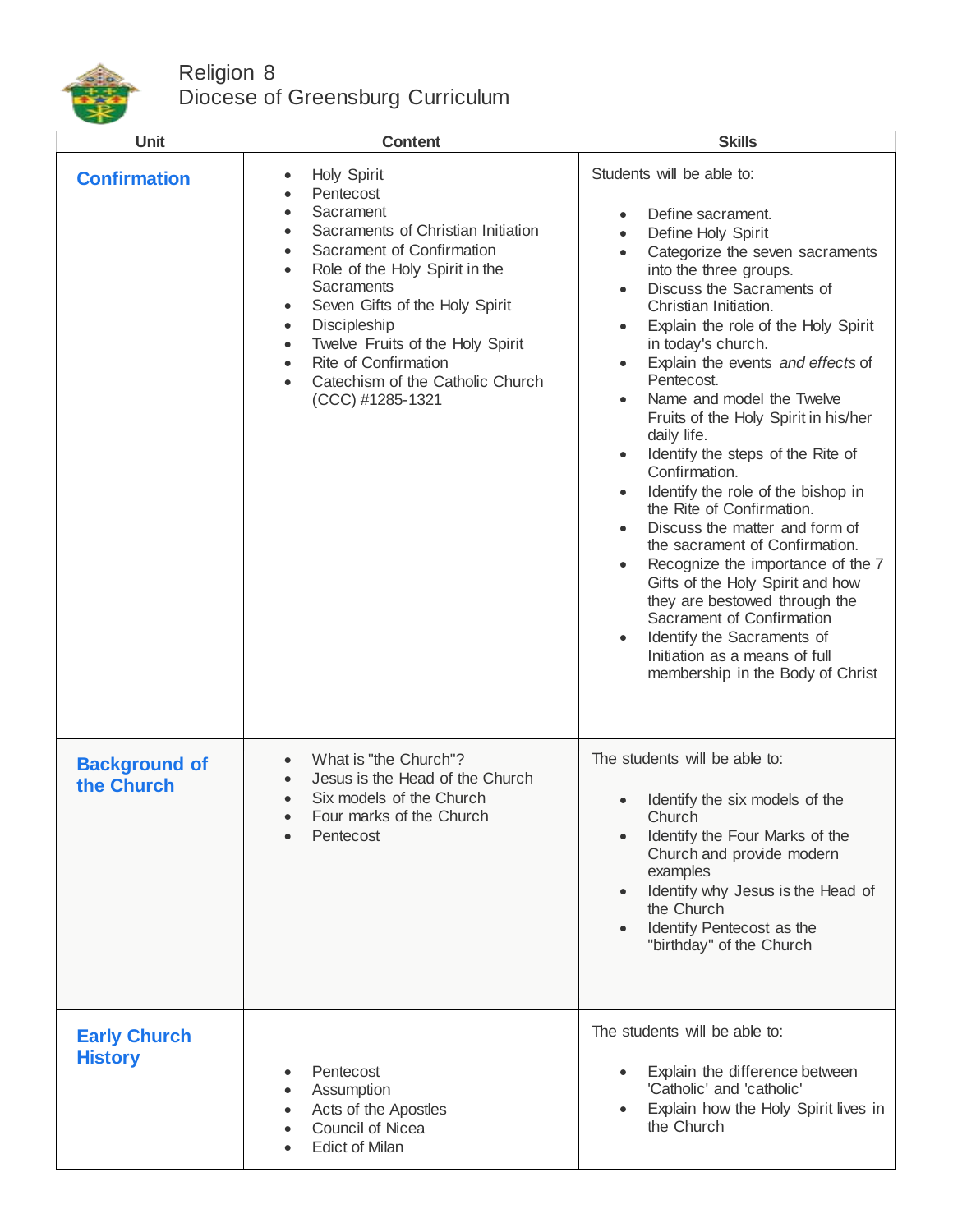

## Religion 8 Diocese of Greensburg Curriculum

| <b>Unit</b>                           | <b>Content</b>                                                                                                                                                                                                                                                                                                                                                                     | <b>Skills</b>                                                                                                                                                                                                                                                                                                                                                                                                                                                                                                                                                                                                                                                                                                                                                                                                                                                                                       |
|---------------------------------------|------------------------------------------------------------------------------------------------------------------------------------------------------------------------------------------------------------------------------------------------------------------------------------------------------------------------------------------------------------------------------------|-----------------------------------------------------------------------------------------------------------------------------------------------------------------------------------------------------------------------------------------------------------------------------------------------------------------------------------------------------------------------------------------------------------------------------------------------------------------------------------------------------------------------------------------------------------------------------------------------------------------------------------------------------------------------------------------------------------------------------------------------------------------------------------------------------------------------------------------------------------------------------------------------------|
| <b>Confirmation</b>                   | Holy Spirit<br>$\bullet$<br>Pentecost<br>Sacrament<br>Sacraments of Christian Initiation<br>Sacrament of Confirmation<br>Role of the Holy Spirit in the<br>Sacraments<br>Seven Gifts of the Holy Spirit<br>$\bullet$<br>Discipleship<br>$\bullet$<br>Twelve Fruits of the Holy Spirit<br>$\bullet$<br>Rite of Confirmation<br>Catechism of the Catholic Church<br>(CCC) #1285-1321 | Students will be able to:<br>Define sacrament.<br>Define Holy Spirit<br>$\bullet$<br>Categorize the seven sacraments<br>$\bullet$<br>into the three groups.<br>Discuss the Sacraments of<br>$\bullet$<br>Christian Initiation.<br>Explain the role of the Holy Spirit<br>in today's church.<br>Explain the events and effects of<br>Pentecost.<br>Name and model the Twelve<br>Fruits of the Holy Spirit in his/her<br>daily life.<br>Identify the steps of the Rite of<br>Confirmation.<br>Identify the role of the bishop in<br>the Rite of Confirmation.<br>Discuss the matter and form of<br>the sacrament of Confirmation.<br>Recognize the importance of the 7<br>$\bullet$<br>Gifts of the Holy Spirit and how<br>they are bestowed through the<br>Sacrament of Confirmation<br>Identify the Sacraments of<br>$\bullet$<br>Initiation as a means of full<br>membership in the Body of Christ |
| <b>Background of</b><br>the Church    | What is "the Church"?<br>Jesus is the Head of the Church<br>Six models of the Church<br>Four marks of the Church<br>Pentecost                                                                                                                                                                                                                                                      | The students will be able to:<br>Identify the six models of the<br>Church<br>Identify the Four Marks of the<br>Church and provide modern<br>examples<br>Identify why Jesus is the Head of<br>the Church<br>Identify Pentecost as the<br>"birthday" of the Church                                                                                                                                                                                                                                                                                                                                                                                                                                                                                                                                                                                                                                    |
| <b>Early Church</b><br><b>History</b> | Pentecost<br>Assumption<br>Acts of the Apostles<br><b>Council of Nicea</b><br><b>Edict of Milan</b>                                                                                                                                                                                                                                                                                | The students will be able to:<br>Explain the difference between<br>'Catholic' and 'catholic'<br>Explain how the Holy Spirit lives in<br>the Church                                                                                                                                                                                                                                                                                                                                                                                                                                                                                                                                                                                                                                                                                                                                                  |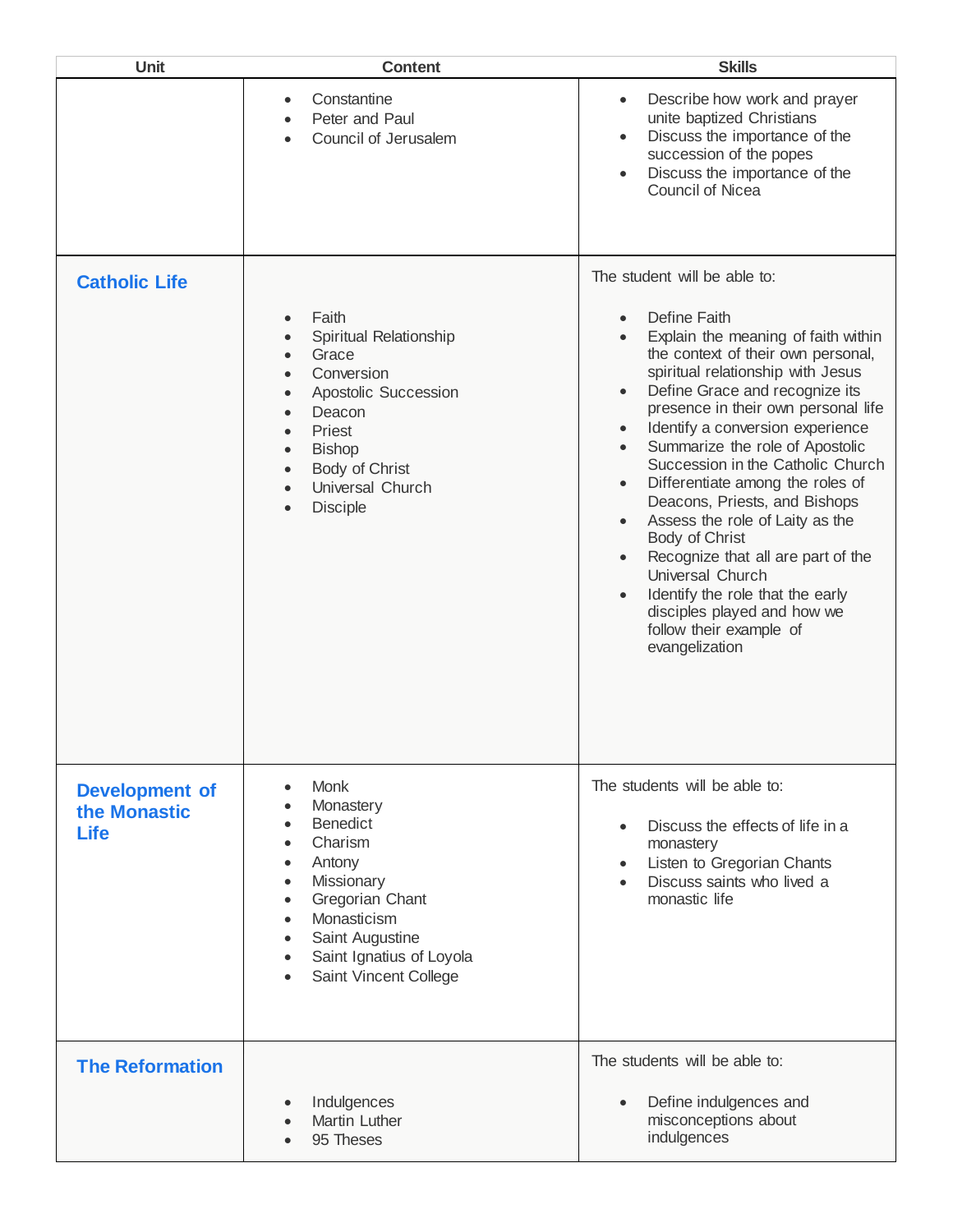| Unit                                                 | <b>Content</b>                                                                                                                                                                                                                   | <b>Skills</b>                                                                                                                                                                                                                                                                                                                                                                                                                                                                                                                                                                                                                                                                                                                                                                |
|------------------------------------------------------|----------------------------------------------------------------------------------------------------------------------------------------------------------------------------------------------------------------------------------|------------------------------------------------------------------------------------------------------------------------------------------------------------------------------------------------------------------------------------------------------------------------------------------------------------------------------------------------------------------------------------------------------------------------------------------------------------------------------------------------------------------------------------------------------------------------------------------------------------------------------------------------------------------------------------------------------------------------------------------------------------------------------|
|                                                      | Constantine<br>$\bullet$<br>Peter and Paul<br>Council of Jerusalem                                                                                                                                                               | Describe how work and prayer<br>$\bullet$<br>unite baptized Christians<br>Discuss the importance of the<br>$\bullet$<br>succession of the popes<br>Discuss the importance of the<br>$\bullet$<br><b>Council of Nicea</b>                                                                                                                                                                                                                                                                                                                                                                                                                                                                                                                                                     |
| <b>Catholic Life</b>                                 | Faith<br>$\bullet$<br>Spiritual Relationship<br>Grace<br>Conversion<br>Apostolic Succession<br>$\bullet$<br>Deacon<br>Priest<br><b>Bishop</b><br>$\bullet$<br>Body of Christ<br>$\bullet$<br>Universal Church<br><b>Disciple</b> | The student will be able to:<br>Define Faith<br>$\bullet$<br>Explain the meaning of faith within<br>$\bullet$<br>the context of their own personal,<br>spiritual relationship with Jesus<br>Define Grace and recognize its<br>$\bullet$<br>presence in their own personal life<br>Identify a conversion experience<br>$\bullet$<br>Summarize the role of Apostolic<br>$\bullet$<br>Succession in the Catholic Church<br>Differentiate among the roles of<br>$\bullet$<br>Deacons, Priests, and Bishops<br>Assess the role of Laity as the<br>$\bullet$<br>Body of Christ<br>Recognize that all are part of the<br>$\bullet$<br>Universal Church<br>Identify the role that the early<br>$\bullet$<br>disciples played and how we<br>follow their example of<br>evangelization |
| <b>Development of</b><br>the Monastic<br><b>Life</b> | <b>Monk</b><br>$\bullet$<br>Monastery<br><b>Benedict</b><br>Charism<br>Antony<br>Missionary<br>Gregorian Chant<br>Monasticism<br>Saint Augustine<br>Saint Ignatius of Loyola<br>Saint Vincent College                            | The students will be able to:<br>Discuss the effects of life in a<br>$\bullet$<br>monastery<br>Listen to Gregorian Chants<br>$\bullet$<br>Discuss saints who lived a<br>$\bullet$<br>monastic life                                                                                                                                                                                                                                                                                                                                                                                                                                                                                                                                                                           |
| <b>The Reformation</b>                               | Indulgences<br>$\bullet$<br><b>Martin Luther</b><br>95 Theses                                                                                                                                                                    | The students will be able to:<br>Define indulgences and<br>$\bullet$<br>misconceptions about<br>indulgences                                                                                                                                                                                                                                                                                                                                                                                                                                                                                                                                                                                                                                                                  |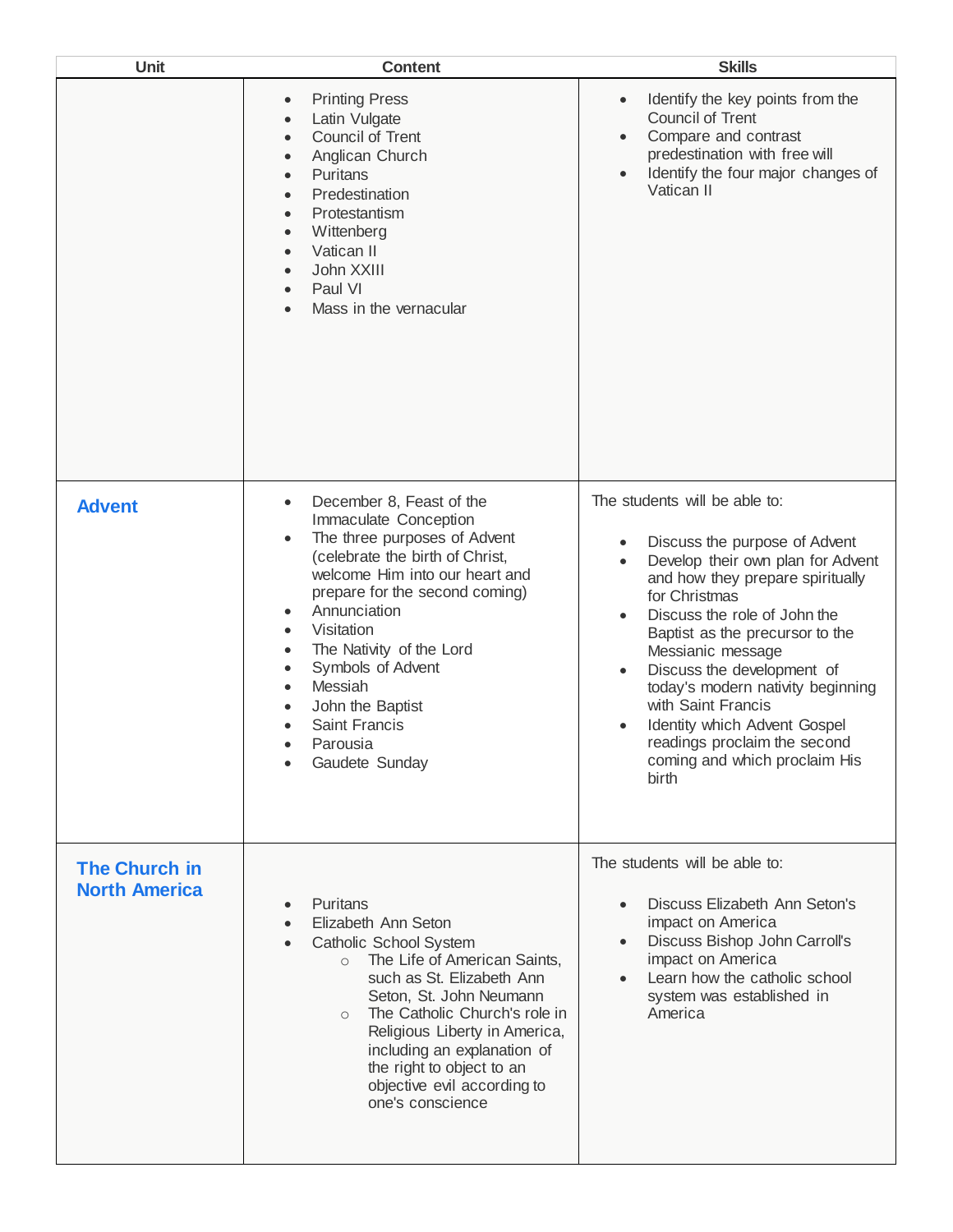| <b>Unit</b>                                  | <b>Content</b>                                                                                                                                                                                                                                                                                                                                                                                                                                                       | <b>Skills</b>                                                                                                                                                                                                                                                                                                                                                                                                                                                                                           |
|----------------------------------------------|----------------------------------------------------------------------------------------------------------------------------------------------------------------------------------------------------------------------------------------------------------------------------------------------------------------------------------------------------------------------------------------------------------------------------------------------------------------------|---------------------------------------------------------------------------------------------------------------------------------------------------------------------------------------------------------------------------------------------------------------------------------------------------------------------------------------------------------------------------------------------------------------------------------------------------------------------------------------------------------|
|                                              | <b>Printing Press</b><br>$\bullet$<br>Latin Vulgate<br>$\bullet$<br><b>Council of Trent</b><br>$\bullet$<br>Anglican Church<br>Puritans<br>$\bullet$<br>Predestination<br>Protestantism<br>$\bullet$<br>Wittenberg<br>$\bullet$<br>Vatican II<br>$\bullet$<br>John XXIII<br>Paul VI<br>Mass in the vernacular                                                                                                                                                        | Identify the key points from the<br>$\bullet$<br><b>Council of Trent</b><br>Compare and contrast<br>$\bullet$<br>predestination with free will<br>Identify the four major changes of<br>$\bullet$<br>Vatican II                                                                                                                                                                                                                                                                                         |
| <b>Advent</b>                                | December 8, Feast of the<br>$\bullet$<br>Immaculate Conception<br>The three purposes of Advent<br>$\bullet$<br>(celebrate the birth of Christ,<br>welcome Him into our heart and<br>prepare for the second coming)<br>Annunciation<br>$\bullet$<br>Visitation<br>$\bullet$<br>The Nativity of the Lord<br>$\bullet$<br>Symbols of Advent<br>$\bullet$<br>Messiah<br>$\bullet$<br>John the Baptist<br>$\bullet$<br><b>Saint Francis</b><br>Parousia<br>Gaudete Sunday | The students will be able to:<br>Discuss the purpose of Advent<br>$\bullet$<br>Develop their own plan for Advent<br>$\bullet$<br>and how they prepare spiritually<br>for Christmas<br>Discuss the role of John the<br>$\bullet$<br>Baptist as the precursor to the<br>Messianic message<br>Discuss the development of<br>$\bullet$<br>today's modern nativity beginning<br>with Saint Francis<br>Identity which Advent Gospel<br>readings proclaim the second<br>coming and which proclaim His<br>birth |
| <b>The Church in</b><br><b>North America</b> | Puritans<br>$\bullet$<br>Elizabeth Ann Seton<br>Catholic School System<br>The Life of American Saints,<br>$\circ$<br>such as St. Elizabeth Ann<br>Seton, St. John Neumann<br>The Catholic Church's role in<br>$\circ$<br>Religious Liberty in America,<br>including an explanation of<br>the right to object to an<br>objective evil according to<br>one's conscience                                                                                                | The students will be able to:<br>Discuss Elizabeth Ann Seton's<br>$\bullet$<br>impact on America<br>Discuss Bishop John Carroll's<br>$\bullet$<br>impact on America<br>Learn how the catholic school<br>system was established in<br>America                                                                                                                                                                                                                                                            |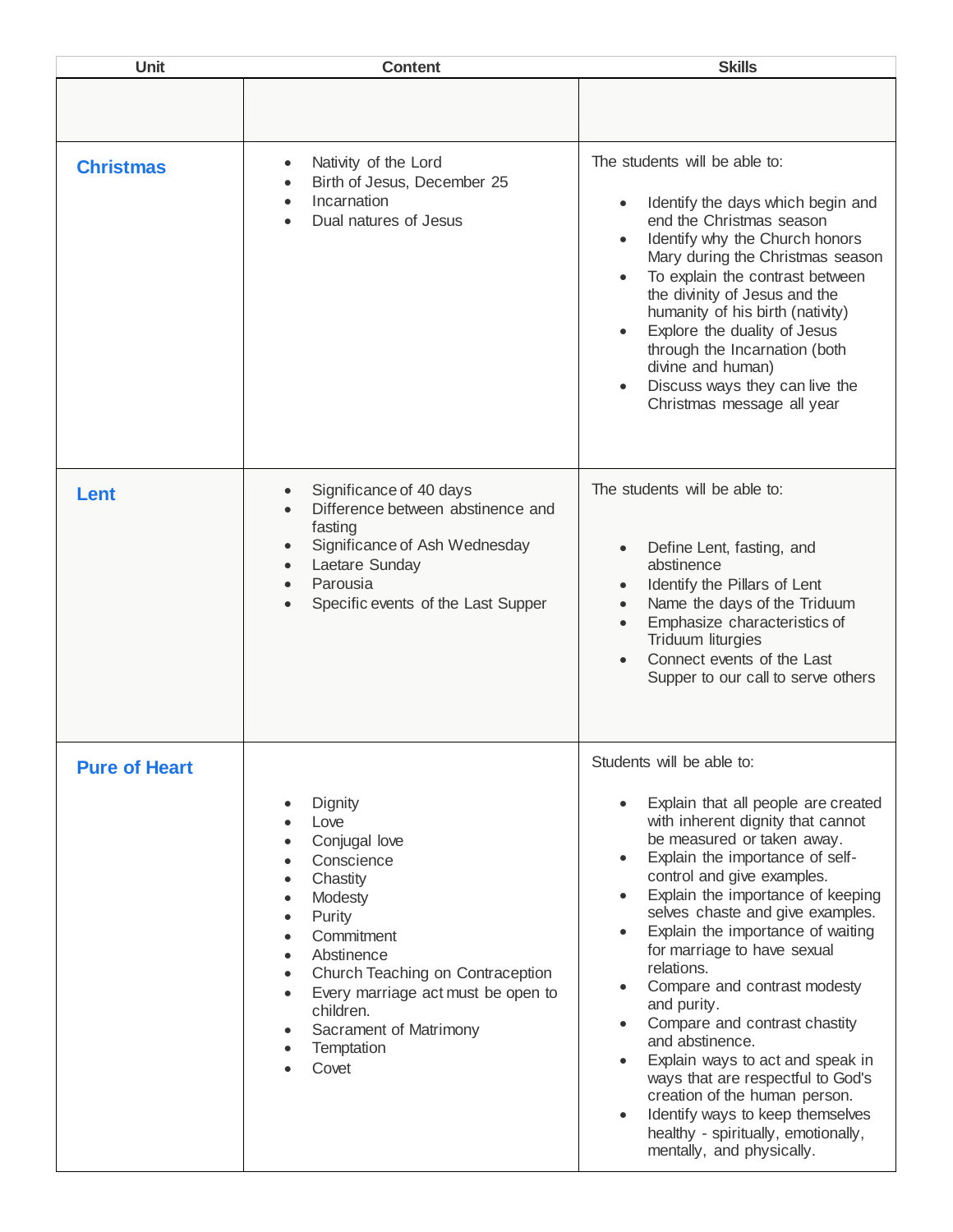| <b>Unit</b>          | <b>Content</b>                                                                                                                                                                                                                                                                             | <b>Skills</b>                                                                                                                                                                                                                                                                                                                                                                                                                                                                                                                                                                                                                                                                                                                                                                   |
|----------------------|--------------------------------------------------------------------------------------------------------------------------------------------------------------------------------------------------------------------------------------------------------------------------------------------|---------------------------------------------------------------------------------------------------------------------------------------------------------------------------------------------------------------------------------------------------------------------------------------------------------------------------------------------------------------------------------------------------------------------------------------------------------------------------------------------------------------------------------------------------------------------------------------------------------------------------------------------------------------------------------------------------------------------------------------------------------------------------------|
|                      |                                                                                                                                                                                                                                                                                            |                                                                                                                                                                                                                                                                                                                                                                                                                                                                                                                                                                                                                                                                                                                                                                                 |
| <b>Christmas</b>     | Nativity of the Lord<br>Birth of Jesus, December 25<br>Incarnation<br>Dual natures of Jesus                                                                                                                                                                                                | The students will be able to:<br>Identify the days which begin and<br>$\bullet$<br>end the Christmas season<br>Identify why the Church honors<br>Mary during the Christmas season<br>To explain the contrast between<br>the divinity of Jesus and the<br>humanity of his birth (nativity)<br>Explore the duality of Jesus<br>$\bullet$<br>through the Incarnation (both<br>divine and human)<br>Discuss ways they can live the<br>Christmas message all year                                                                                                                                                                                                                                                                                                                    |
| Lent                 | Significance of 40 days<br>Difference between abstinence and<br>fasting<br>Significance of Ash Wednesday<br>Laetare Sunday<br>Parousia<br>Specific events of the Last Supper                                                                                                               | The students will be able to:<br>Define Lent, fasting, and<br>$\bullet$<br>abstinence<br>Identify the Pillars of Lent<br>Name the days of the Triduum<br>Emphasize characteristics of<br>Triduum liturgies<br>Connect events of the Last<br>Supper to our call to serve others                                                                                                                                                                                                                                                                                                                                                                                                                                                                                                  |
| <b>Pure of Heart</b> | Dignity<br>Love<br>Conjugal love<br>Conscience<br>Chastity<br>Modesty<br>$\bullet$<br>Purity<br>$\bullet$<br>Commitment<br>Abstinence<br>Church Teaching on Contraception<br>Every marriage act must be open to<br>$\bullet$<br>children.<br>Sacrament of Matrimony<br>Temptation<br>Covet | Students will be able to:<br>Explain that all people are created<br>with inherent dignity that cannot<br>be measured or taken away.<br>Explain the importance of self-<br>$\bullet$<br>control and give examples.<br>Explain the importance of keeping<br>$\bullet$<br>selves chaste and give examples.<br>Explain the importance of waiting<br>$\bullet$<br>for marriage to have sexual<br>relations.<br>Compare and contrast modesty<br>$\bullet$<br>and purity.<br>Compare and contrast chastity<br>$\bullet$<br>and abstinence.<br>Explain ways to act and speak in<br>$\bullet$<br>ways that are respectful to God's<br>creation of the human person.<br>Identify ways to keep themselves<br>$\bullet$<br>healthy - spiritually, emotionally,<br>mentally, and physically. |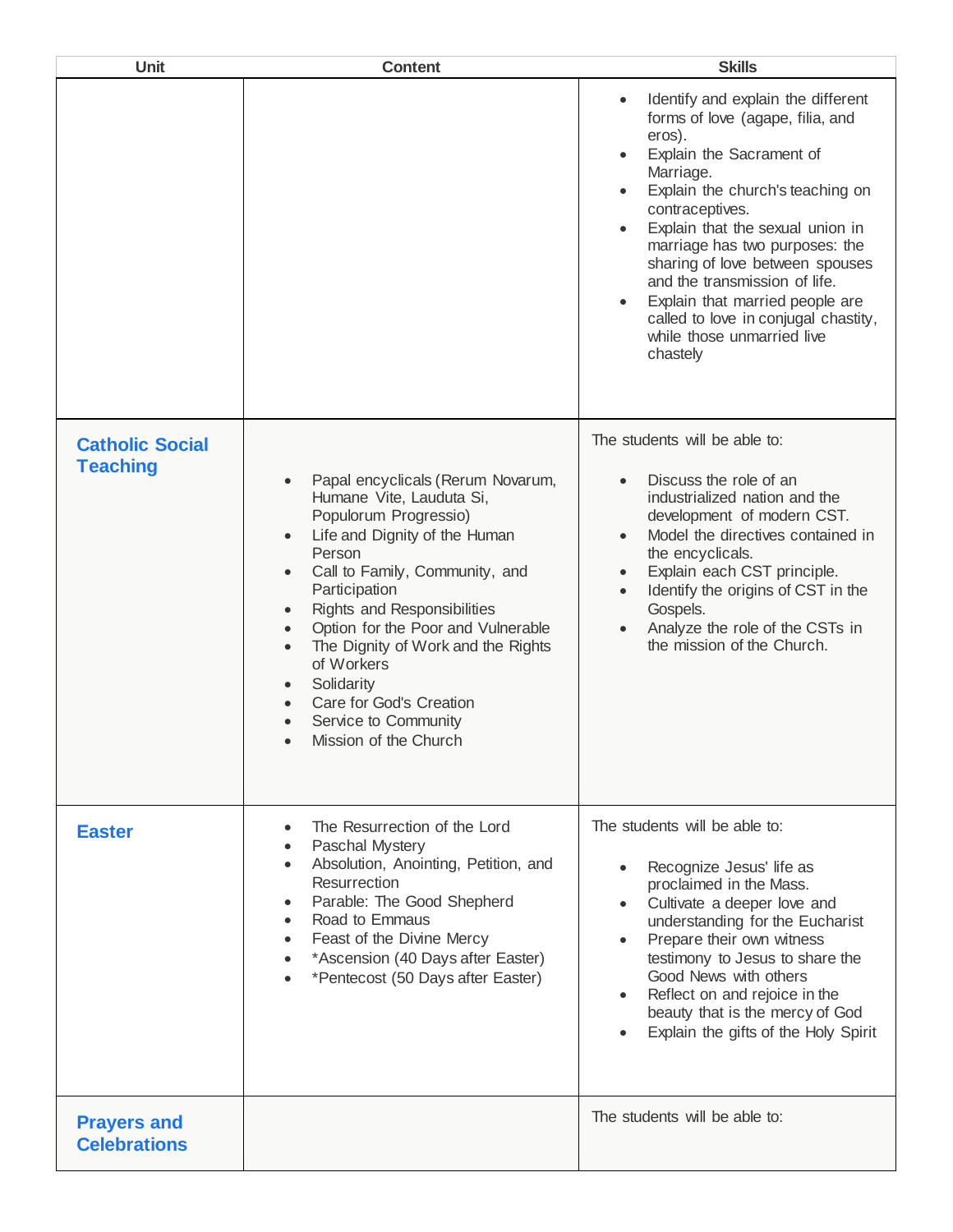| Unit                                      | <b>Content</b>                                                                                                                                                                                                                                                                                                                                                                                                                                                           | <b>Skills</b>                                                                                                                                                                                                                                                                                                                                                                                                                                                                                       |
|-------------------------------------------|--------------------------------------------------------------------------------------------------------------------------------------------------------------------------------------------------------------------------------------------------------------------------------------------------------------------------------------------------------------------------------------------------------------------------------------------------------------------------|-----------------------------------------------------------------------------------------------------------------------------------------------------------------------------------------------------------------------------------------------------------------------------------------------------------------------------------------------------------------------------------------------------------------------------------------------------------------------------------------------------|
|                                           |                                                                                                                                                                                                                                                                                                                                                                                                                                                                          | Identify and explain the different<br>$\bullet$<br>forms of love (agape, filia, and<br>eros).<br>Explain the Sacrament of<br>$\bullet$<br>Marriage.<br>Explain the church's teaching on<br>$\bullet$<br>contraceptives.<br>Explain that the sexual union in<br>$\bullet$<br>marriage has two purposes: the<br>sharing of love between spouses<br>and the transmission of life.<br>Explain that married people are<br>called to love in conjugal chastity,<br>while those unmarried live<br>chastely |
| <b>Catholic Social</b><br><b>Teaching</b> | Papal encyclicals (Rerum Novarum,<br>$\bullet$<br>Humane Vite, Lauduta Si,<br>Populorum Progressio)<br>Life and Dignity of the Human<br>$\bullet$<br>Person<br>Call to Family, Community, and<br>$\bullet$<br>Participation<br>Rights and Responsibilities<br>$\bullet$<br>Option for the Poor and Vulnerable<br>The Dignity of Work and the Rights<br>of Workers<br>Solidarity<br>$\bullet$<br>Care for God's Creation<br>Service to Community<br>Mission of the Church | The students will be able to:<br>Discuss the role of an<br>industrialized nation and the<br>development of modern CST.<br>Model the directives contained in<br>$\bullet$<br>the encyclicals.<br>Explain each CST principle.<br>$\bullet$<br>Identify the origins of CST in the<br>Gospels.<br>Analyze the role of the CSTs in<br>the mission of the Church.                                                                                                                                         |
| <b>Easter</b>                             | The Resurrection of the Lord<br>Paschal Mystery<br>Absolution, Anointing, Petition, and<br>Resurrection<br>Parable: The Good Shepherd<br>Road to Emmaus<br>Feast of the Divine Mercy<br>*Ascension (40 Days after Easter)<br>*Pentecost (50 Days after Easter)                                                                                                                                                                                                           | The students will be able to:<br>Recognize Jesus' life as<br>proclaimed in the Mass.<br>Cultivate a deeper love and<br>understanding for the Eucharist<br>Prepare their own witness<br>testimony to Jesus to share the<br>Good News with others<br>Reflect on and rejoice in the<br>beauty that is the mercy of God<br>Explain the gifts of the Holy Spirit                                                                                                                                         |
| <b>Prayers and</b><br><b>Celebrations</b> |                                                                                                                                                                                                                                                                                                                                                                                                                                                                          | The students will be able to:                                                                                                                                                                                                                                                                                                                                                                                                                                                                       |